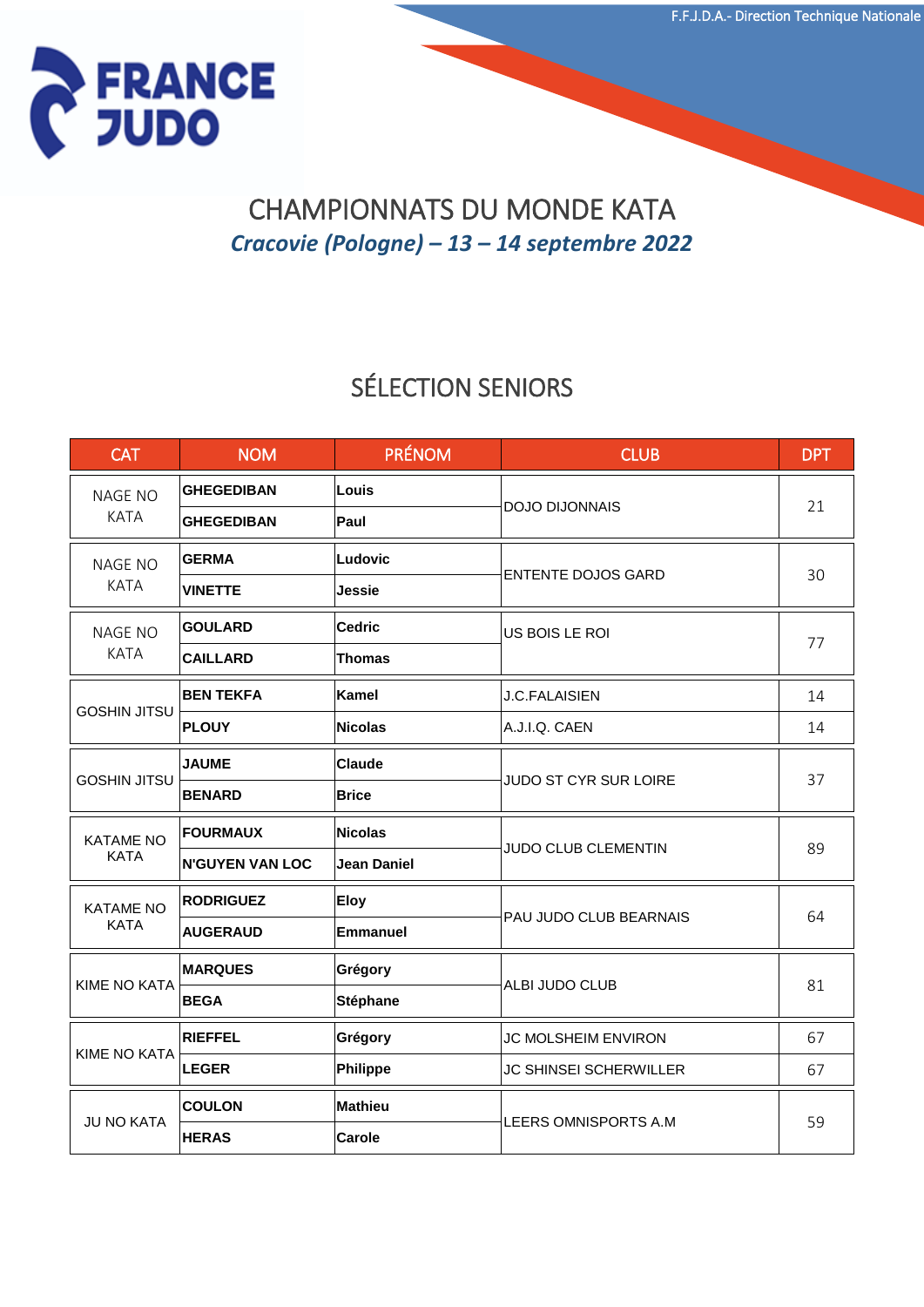

### CHAMPIONNATS DU MONDE KATA *Cracovie (Pologne) – 13 – 14 septembre 2022*

## SÉLECTION SENIORS

| <b>CAT</b>                      | <b>NOM</b>             | <b>PRÉNOM</b>      | <b>CLUB</b>                   | <b>DPT</b> |
|---------------------------------|------------------------|--------------------|-------------------------------|------------|
| <b>NAGE NO</b><br><b>KATA</b>   | <b>GHEGEDIBAN</b>      | Louis              | <b>DOJO DIJONNAIS</b>         | 21         |
|                                 | <b>GHEGEDIBAN</b>      | Paul               |                               |            |
| <b>NAGE NO</b><br><b>KATA</b>   | <b>GERMA</b>           | Ludovic            | <b>ENTENTE DOJOS GARD</b>     | 30         |
|                                 | <b>VINETTE</b>         | Jessie             |                               |            |
| <b>NAGE NO</b><br><b>KATA</b>   | <b>GOULARD</b>         | <b>Cedric</b>      | US BOIS LE ROI                | 77         |
|                                 | <b>CAILLARD</b>        | <b>Thomas</b>      |                               |            |
| <b>GOSHIN JITSU</b>             | <b>BEN TEKFA</b>       | Kamel              | <b>J.C.FALAISIEN</b>          | 14         |
|                                 | <b>PLOUY</b>           | <b>Nicolas</b>     | A.J.I.Q. CAEN                 | 14         |
| <b>GOSHIN JITSU</b>             | <b>JAUME</b>           | <b>Claude</b>      | JUDO ST CYR SUR LOIRE         | 37         |
|                                 | <b>BENARD</b>          | <b>Brice</b>       |                               |            |
| <b>KATAME NO</b><br><b>KATA</b> | <b>FOURMAUX</b>        | <b>Nicolas</b>     | <b>JUDO CLUB CLEMENTIN</b>    | 89         |
|                                 | <b>N'GUYEN VAN LOC</b> | <b>Jean Daniel</b> |                               |            |
| <b>KATAME NO</b><br><b>KATA</b> | <b>RODRIGUEZ</b>       | <b>Eloy</b>        | PAU JUDO CLUB BEARNAIS        | 64         |
|                                 | <b>AUGERAUD</b>        | Emmanuel           |                               |            |
| <b>KIME NO KATA</b>             | <b>MARQUES</b>         | Grégory            | ALBI JUDO CLUB                | 81         |
|                                 | <b>BEGA</b>            | <b>Stéphane</b>    |                               |            |
| <b>KIME NO KATA</b>             | <b>RIEFFEL</b>         | Grégory            | JC MOLSHEIM ENVIRON           | 67         |
|                                 | <b>LEGER</b>           | Philippe           | <b>JC SHINSEI SCHERWILLER</b> | 67         |
| <b>JU NO KATA</b>               | <b>COULON</b>          | Mathieu            | LEERS OMNISPORTS A.M          | 59         |
|                                 | <b>HERAS</b>           | Carole             |                               |            |